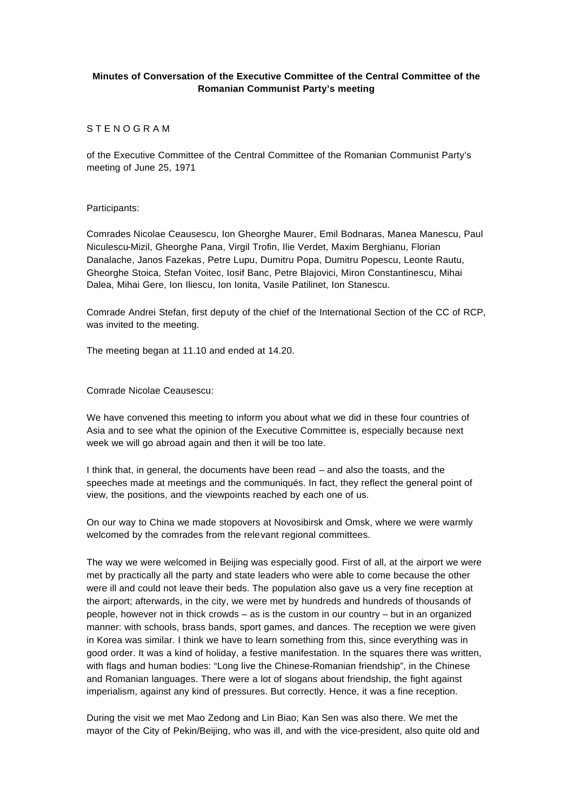## **Minutes of Conversation of the Executive Committee of the Central Committee of the Romanian Communist Party's meeting**

## S T E N O G R A M

of the Executive Committee of the Central Committee of the Romanian Communist Party's meeting of June 25, 1971

## Participants:

Comrades Nicolae Ceausescu, Ion Gheorghe Maurer, Emil Bodnaras, Manea Manescu, Paul Niculescu-Mizil, Gheorghe Pana, Virgil Trofin, Ilie Verdet, Maxim Berghianu, Florian Danalache, Janos Fazekas, Petre Lupu, Dumitru Popa, Dumitru Popescu, Leonte Rautu, Gheorghe Stoica, Stefan Voitec, Iosif Banc, Petre Blajovici, Miron Constantinescu, Mihai Dalea, Mihai Gere, Ion Iliescu, Ion Ionita, Vasile Patilinet, Ion Stanescu.

Comrade Andrei Stefan, first deputy of the chief of the International Section of the CC of RCP, was invited to the meeting.

The meeting began at 11.10 and ended at 14.20.

Comrade Nicolae Ceausescu:

We have convened this meeting to inform you about what we did in these four countries of Asia and to see what the opinion of the Executive Committee is, especially because next week we will go abroad again and then it will be too late.

I think that, in general, the documents have been read – and also the toasts, and the speeches made at meetings and the communiqués. In fact, they reflect the general point of view, the positions, and the viewpoints reached by each one of us.

On our way to China we made stopovers at Novosibirsk and Omsk, where we were warmly welcomed by the comrades from the relevant regional committees.

The way we were welcomed in Beijing was especially good. First of all, at the airport we were met by practically all the party and state leaders who were able to come because the other were ill and could not leave their beds. The population also gave us a very fine reception at the airport; afterwards, in the city, we were met by hundreds and hundreds of thousands of people, however not in thick crowds – as is the custom in our country – but in an organized manner: with schools, brass bands, sport games, and dances. The reception we were given in Korea was similar. I think we have to learn something from this, since everything was in good order. It was a kind of holiday, a festive manifestation. In the squares there was written, with flags and human bodies: "Long live the Chinese-Romanian friendship", in the Chinese and Romanian languages. There were a lot of slogans about friendship, the fight against imperialism, against any kind of pressures. But correctly. Hence, it was a fine reception.

During the visit we met Mao Zedong and Lin Biao; Kan Sen was also there. We met the mayor of the City of Pekin/Beijing, who was ill, and with the vice-president, also quite old and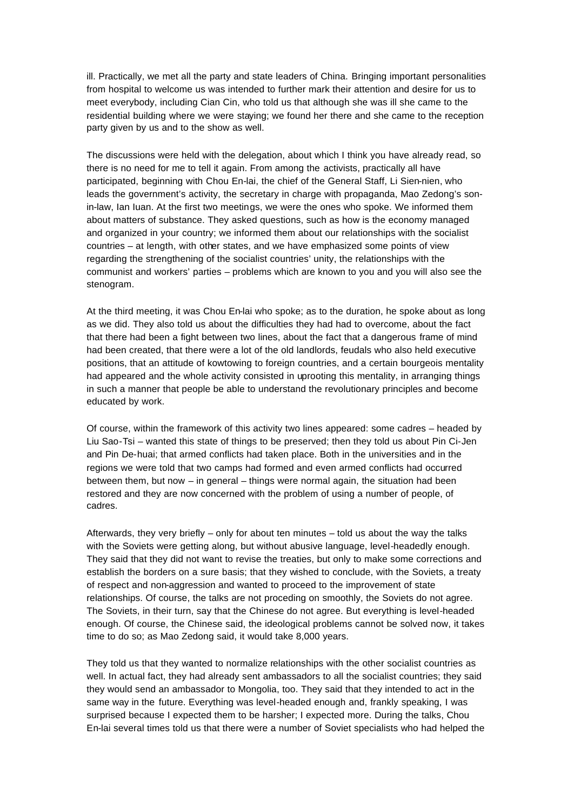ill. Practically, we met all the party and state leaders of China. Bringing important personalities from hospital to welcome us was intended to further mark their attention and desire for us to meet everybody, including Cian Cin, who told us that although she was ill she came to the residential building where we were staying; we found her there and she came to the reception party given by us and to the show as well.

The discussions were held with the delegation, about which I think you have already read, so there is no need for me to tell it again. From among the activists, practically all have participated, beginning with Chou En-lai, the chief of the General Staff, Li Sien-nien, who leads the government's activity, the secretary in charge with propaganda, Mao Zedong's sonin-law, Ian Iuan. At the first two meetings, we were the ones who spoke. We informed them about matters of substance. They asked questions, such as how is the economy managed and organized in your country; we informed them about our relationships with the socialist countries – at length, with other states, and we have emphasized some points of view regarding the strengthening of the socialist countries' unity, the relationships with the communist and workers' parties – problems which are known to you and you will also see the stenogram.

At the third meeting, it was Chou En-lai who spoke; as to the duration, he spoke about as long as we did. They also told us about the difficulties they had had to overcome, about the fact that there had been a fight between two lines, about the fact that a dangerous frame of mind had been created, that there were a lot of the old landlords, feudals who also held executive positions, that an attitude of kowtowing to foreign countries, and a certain bourgeois mentality had appeared and the whole activity consisted in uprooting this mentality, in arranging things in such a manner that people be able to understand the revolutionary principles and become educated by work.

Of course, within the framework of this activity two lines appeared: some cadres – headed by Liu Sao-Tsi – wanted this state of things to be preserved; then they told us about Pin Ci-Jen and Pin De-huai; that armed conflicts had taken place. Both in the universities and in the regions we were told that two camps had formed and even armed conflicts had occurred between them, but now – in general – things were normal again, the situation had been restored and they are now concerned with the problem of using a number of people, of cadres.

Afterwards, they very briefly – only for about ten minutes – told us about the way the talks with the Soviets were getting along, but without abusive language, level-headedly enough. They said that they did not want to revise the treaties, but only to make some corrections and establish the borders on a sure basis; that they wished to conclude, with the Soviets, a treaty of respect and non-aggression and wanted to proceed to the improvement of state relationships. Of course, the talks are not proceding on smoothly, the Soviets do not agree. The Soviets, in their turn, say that the Chinese do not agree. But everything is level-headed enough. Of course, the Chinese said, the ideological problems cannot be solved now, it takes time to do so; as Mao Zedong said, it would take 8,000 years.

They told us that they wanted to normalize relationships with the other socialist countries as well. In actual fact, they had already sent ambassadors to all the socialist countries; they said they would send an ambassador to Mongolia, too. They said that they intended to act in the same way in the future. Everything was level-headed enough and, frankly speaking, I was surprised because I expected them to be harsher; I expected more. During the talks, Chou En-lai several times told us that there were a number of Soviet specialists who had helped the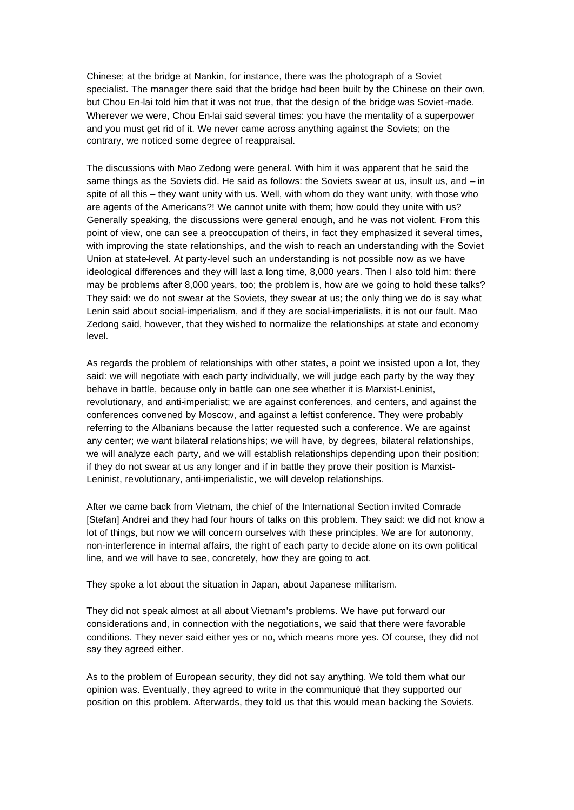Chinese; at the bridge at Nankin, for instance, there was the photograph of a Soviet specialist. The manager there said that the bridge had been built by the Chinese on their own, but Chou En-lai told him that it was not true, that the design of the bridge was Soviet-made. Wherever we were, Chou En-lai said several times: you have the mentality of a superpower and you must get rid of it. We never came across anything against the Soviets; on the contrary, we noticed some degree of reappraisal.

The discussions with Mao Zedong were general. With him it was apparent that he said the same things as the Soviets did. He said as follows: the Soviets swear at us, insult us, and – in spite of all this – they want unity with us. Well, with whom do they want unity, with those who are agents of the Americans?! We cannot unite with them; how could they unite with us? Generally speaking, the discussions were general enough, and he was not violent. From this point of view, one can see a preoccupation of theirs, in fact they emphasized it several times, with improving the state relationships, and the wish to reach an understanding with the Soviet Union at state-level. At party-level such an understanding is not possible now as we have ideological differences and they will last a long time, 8,000 years. Then I also told him: there may be problems after 8,000 years, too; the problem is, how are we going to hold these talks? They said: we do not swear at the Soviets, they swear at us; the only thing we do is say what Lenin said about social-imperialism, and if they are social-imperialists, it is not our fault. Mao Zedong said, however, that they wished to normalize the relationships at state and economy level.

As regards the problem of relationships with other states, a point we insisted upon a lot, they said: we will negotiate with each party individually, we will judge each party by the way they behave in battle, because only in battle can one see whether it is Marxist-Leninist, revolutionary, and anti-imperialist; we are against conferences, and centers, and against the conferences convened by Moscow, and against a leftist conference. They were probably referring to the Albanians because the latter requested such a conference. We are against any center; we want bilateral relationships; we will have, by degrees, bilateral relationships, we will analyze each party, and we will establish relationships depending upon their position; if they do not swear at us any longer and if in battle they prove their position is Marxist-Leninist, revolutionary, anti-imperialistic, we will develop relationships.

After we came back from Vietnam, the chief of the International Section invited Comrade [Stefan] Andrei and they had four hours of talks on this problem. They said: we did not know a lot of things, but now we will concern ourselves with these principles. We are for autonomy, non-interference in internal affairs, the right of each party to decide alone on its own political line, and we will have to see, concretely, how they are going to act.

They spoke a lot about the situation in Japan, about Japanese militarism.

They did not speak almost at all about Vietnam's problems. We have put forward our considerations and, in connection with the negotiations, we said that there were favorable conditions. They never said either yes or no, which means more yes. Of course, they did not say they agreed either.

As to the problem of European security, they did not say anything. We told them what our opinion was. Eventually, they agreed to write in the communiqué that they supported our position on this problem. Afterwards, they told us that this would mean backing the Soviets.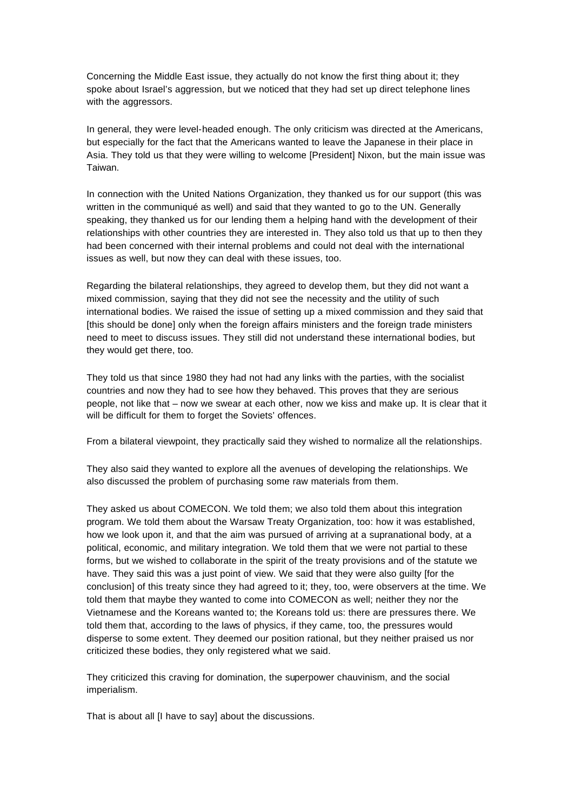Concerning the Middle East issue, they actually do not know the first thing about it; they spoke about Israel's aggression, but we noticed that they had set up direct telephone lines with the aggressors.

In general, they were level-headed enough. The only criticism was directed at the Americans, but especially for the fact that the Americans wanted to leave the Japanese in their place in Asia. They told us that they were willing to welcome [President] Nixon, but the main issue was Taiwan.

In connection with the United Nations Organization, they thanked us for our support (this was written in the communiqué as well) and said that they wanted to go to the UN. Generally speaking, they thanked us for our lending them a helping hand with the development of their relationships with other countries they are interested in. They also told us that up to then they had been concerned with their internal problems and could not deal with the international issues as well, but now they can deal with these issues, too.

Regarding the bilateral relationships, they agreed to develop them, but they did not want a mixed commission, saying that they did not see the necessity and the utility of such international bodies. We raised the issue of setting up a mixed commission and they said that [this should be done] only when the foreign affairs ministers and the foreign trade ministers need to meet to discuss issues. They still did not understand these international bodies, but they would get there, too.

They told us that since 1980 they had not had any links with the parties, with the socialist countries and now they had to see how they behaved. This proves that they are serious people, not like that – now we swear at each other, now we kiss and make up. It is clear that it will be difficult for them to forget the Soviets' offences.

From a bilateral viewpoint, they practically said they wished to normalize all the relationships.

They also said they wanted to explore all the avenues of developing the relationships. We also discussed the problem of purchasing some raw materials from them.

They asked us about COMECON. We told them; we also told them about this integration program. We told them about the Warsaw Treaty Organization, too: how it was established, how we look upon it, and that the aim was pursued of arriving at a supranational body, at a political, economic, and military integration. We told them that we were not partial to these forms, but we wished to collaborate in the spirit of the treaty provisions and of the statute we have. They said this was a just point of view. We said that they were also guilty [for the conclusion] of this treaty since they had agreed to it; they, too, were observers at the time. We told them that maybe they wanted to come into COMECON as well; neither they nor the Vietnamese and the Koreans wanted to; the Koreans told us: there are pressures there. We told them that, according to the laws of physics, if they came, too, the pressures would disperse to some extent. They deemed our position rational, but they neither praised us nor criticized these bodies, they only registered what we said.

They criticized this craving for domination, the superpower chauvinism, and the social imperialism.

That is about all [I have to say] about the discussions.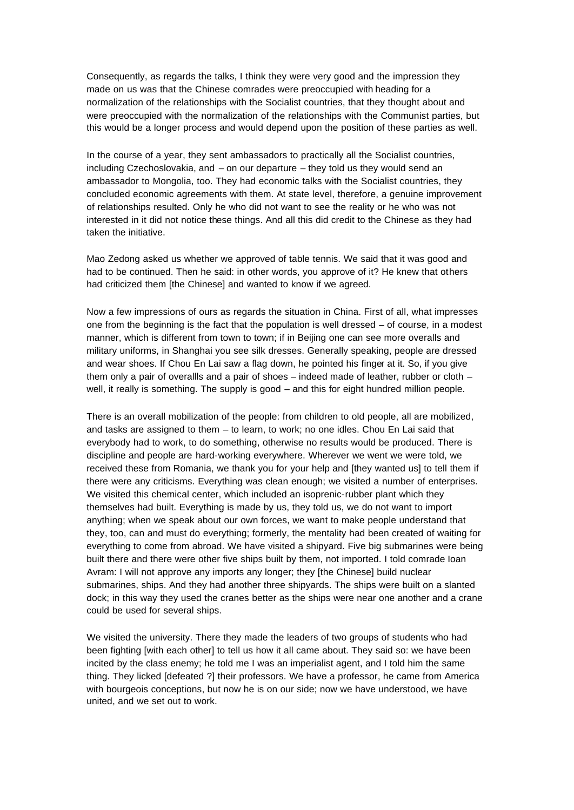Consequently, as regards the talks, I think they were very good and the impression they made on us was that the Chinese comrades were preoccupied with heading for a normalization of the relationships with the Socialist countries, that they thought about and were preoccupied with the normalization of the relationships with the Communist parties, but this would be a longer process and would depend upon the position of these parties as well.

In the course of a year, they sent ambassadors to practically all the Socialist countries, including Czechoslovakia, and – on our departure – they told us they would send an ambassador to Mongolia, too. They had economic talks with the Socialist countries, they concluded economic agreements with them. At state level, therefore, a genuine improvement of relationships resulted. Only he who did not want to see the reality or he who was not interested in it did not notice these things. And all this did credit to the Chinese as they had taken the initiative.

Mao Zedong asked us whether we approved of table tennis. We said that it was good and had to be continued. Then he said: in other words, you approve of it? He knew that others had criticized them [the Chinese] and wanted to know if we agreed.

Now a few impressions of ours as regards the situation in China. First of all, what impresses one from the beginning is the fact that the population is well dressed – of course, in a modest manner, which is different from town to town; if in Beijing one can see more overalls and military uniforms, in Shanghai you see silk dresses. Generally speaking, people are dressed and wear shoes. If Chou En Lai saw a flag down, he pointed his finger at it. So, if you give them only a pair of overallls and a pair of shoes – indeed made of leather, rubber or cloth – well, it really is something. The supply is good – and this for eight hundred million people.

There is an overall mobilization of the people: from children to old people, all are mobilized, and tasks are assigned to them – to learn, to work; no one idles. Chou En Lai said that everybody had to work, to do something, otherwise no results would be produced. There is discipline and people are hard-working everywhere. Wherever we went we were told, we received these from Romania, we thank you for your help and [they wanted us] to tell them if there were any criticisms. Everything was clean enough; we visited a number of enterprises. We visited this chemical center, which included an isoprenic-rubber plant which they themselves had built. Everything is made by us, they told us, we do not want to import anything; when we speak about our own forces, we want to make people understand that they, too, can and must do everything; formerly, the mentality had been created of waiting for everything to come from abroad. We have visited a shipyard. Five big submarines were being built there and there were other five ships built by them, not imported. I told comrade Ioan Avram: I will not approve any imports any longer; they [the Chinese] build nuclear submarines, ships. And they had another three shipyards. The ships were built on a slanted dock; in this way they used the cranes better as the ships were near one another and a crane could be used for several ships.

We visited the university. There they made the leaders of two groups of students who had been fighting [with each other] to tell us how it all came about. They said so: we have been incited by the class enemy; he told me I was an imperialist agent, and I told him the same thing. They licked [defeated ?] their professors. We have a professor, he came from America with bourgeois conceptions, but now he is on our side; now we have understood, we have united, and we set out to work.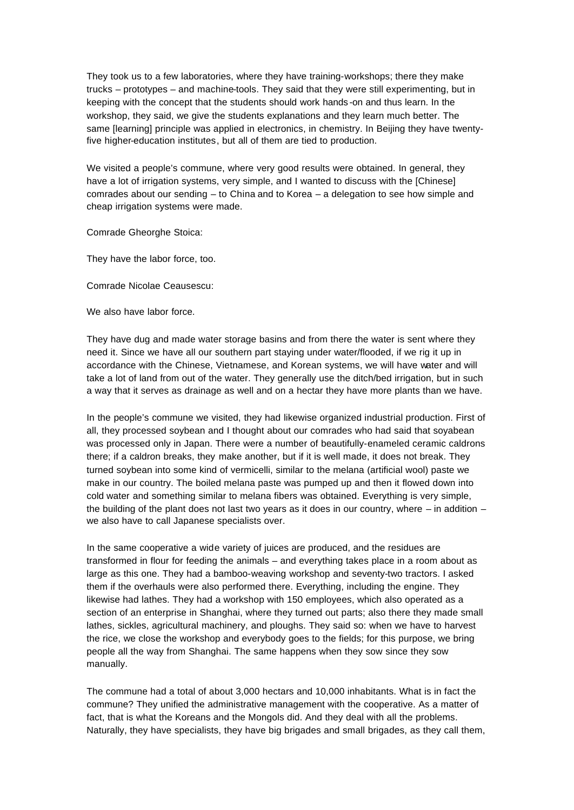They took us to a few laboratories, where they have training-workshops; there they make trucks – prototypes – and machine-tools. They said that they were still experimenting, but in keeping with the concept that the students should work hands -on and thus learn. In the workshop, they said, we give the students explanations and they learn much better. The same [learning] principle was applied in electronics, in chemistry. In Beijing they have twentyfive higher-education institutes, but all of them are tied to production.

We visited a people's commune, where very good results were obtained. In general, they have a lot of irrigation systems, very simple, and I wanted to discuss with the [Chinese] comrades about our sending – to China and to Korea – a delegation to see how simple and cheap irrigation systems were made.

Comrade Gheorghe Stoica:

They have the labor force, too.

Comrade Nicolae Ceausescu:

We also have labor force.

They have dug and made water storage basins and from there the water is sent where they need it. Since we have all our southern part staying under water/flooded, if we rig it up in accordance with the Chinese, Vietnamese, and Korean systems, we will have water and will take a lot of land from out of the water. They generally use the ditch/bed irrigation, but in such a way that it serves as drainage as well and on a hectar they have more plants than we have.

In the people's commune we visited, they had likewise organized industrial production. First of all, they processed soybean and I thought about our comrades who had said that soyabean was processed only in Japan. There were a number of beautifully-enameled ceramic caldrons there; if a caldron breaks, they make another, but if it is well made, it does not break. They turned soybean into some kind of vermicelli, similar to the melana (artificial wool) paste we make in our country. The boiled melana paste was pumped up and then it flowed down into cold water and something similar to melana fibers was obtained. Everything is very simple, the building of the plant does not last two years as it does in our country, where  $-$  in addition  $$ we also have to call Japanese specialists over.

In the same cooperative a wide variety of juices are produced, and the residues are transformed in flour for feeding the animals – and everything takes place in a room about as large as this one. They had a bamboo-weaving workshop and seventy-two tractors. I asked them if the overhauls were also performed there. Everything, including the engine. They likewise had lathes. They had a workshop with 150 employees, which also operated as a section of an enterprise in Shanghai, where they turned out parts; also there they made small lathes, sickles, agricultural machinery, and ploughs. They said so: when we have to harvest the rice, we close the workshop and everybody goes to the fields; for this purpose, we bring people all the way from Shanghai. The same happens when they sow since they sow manually.

The commune had a total of about 3,000 hectars and 10,000 inhabitants. What is in fact the commune? They unified the administrative management with the cooperative. As a matter of fact, that is what the Koreans and the Mongols did. And they deal with all the problems. Naturally, they have specialists, they have big brigades and small brigades, as they call them,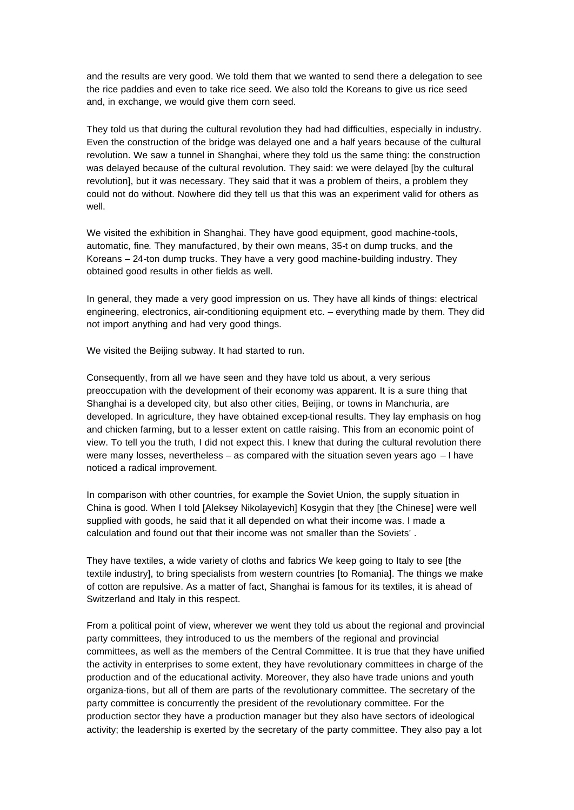and the results are very good. We told them that we wanted to send there a delegation to see the rice paddies and even to take rice seed. We also told the Koreans to give us rice seed and, in exchange, we would give them corn seed.

They told us that during the cultural revolution they had had difficulties, especially in industry. Even the construction of the bridge was delayed one and a half years because of the cultural revolution. We saw a tunnel in Shanghai, where they told us the same thing: the construction was delayed because of the cultural revolution. They said: we were delayed [by the cultural revolution], but it was necessary. They said that it was a problem of theirs, a problem they could not do without. Nowhere did they tell us that this was an experiment valid for others as well.

We visited the exhibition in Shanghai. They have good equipment, good machine-tools, automatic, fine. They manufactured, by their own means, 35-t on dump trucks, and the Koreans – 24-ton dump trucks. They have a very good machine-building industry. They obtained good results in other fields as well.

In general, they made a very good impression on us. They have all kinds of things: electrical engineering, electronics, air-conditioning equipment etc. – everything made by them. They did not import anything and had very good things.

We visited the Beijing subway. It had started to run.

Consequently, from all we have seen and they have told us about, a very serious preoccupation with the development of their economy was apparent. It is a sure thing that Shanghai is a developed city, but also other cities, Beijing, or towns in Manchuria, are developed. In agriculture, they have obtained excep-tional results. They lay emphasis on hog and chicken farming, but to a lesser extent on cattle raising. This from an economic point of view. To tell you the truth, I did not expect this. I knew that during the cultural revolution there were many losses, nevertheless – as compared with the situation seven years ago – I have noticed a radical improvement.

In comparison with other countries, for example the Soviet Union, the supply situation in China is good. When I told [Aleksey Nikolayevich] Kosygin that they [the Chinese] were well supplied with goods, he said that it all depended on what their income was. I made a calculation and found out that their income was not smaller than the Soviets' .

They have textiles, a wide variety of cloths and fabrics We keep going to Italy to see [the textile industry], to bring specialists from western countries [to Romania]. The things we make of cotton are repulsive. As a matter of fact, Shanghai is famous for its textiles, it is ahead of Switzerland and Italy in this respect.

From a political point of view, wherever we went they told us about the regional and provincial party committees, they introduced to us the members of the regional and provincial committees, as well as the members of the Central Committee. It is true that they have unified the activity in enterprises to some extent, they have revolutionary committees in charge of the production and of the educational activity. Moreover, they also have trade unions and youth organiza-tions, but all of them are parts of the revolutionary committee. The secretary of the party committee is concurrently the president of the revolutionary committee. For the production sector they have a production manager but they also have sectors of ideological activity; the leadership is exerted by the secretary of the party committee. They also pay a lot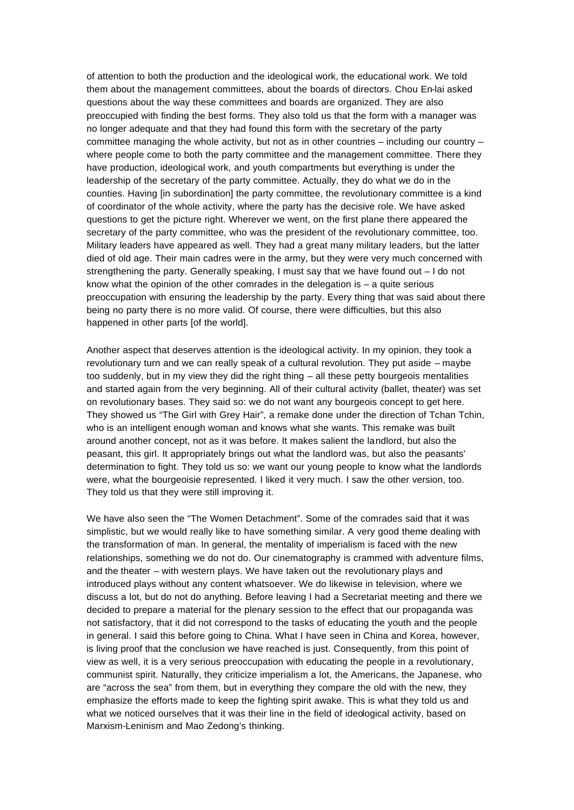of attention to both the production and the ideological work, the educational work. We told them about the management committees, about the boards of directors. Chou En-lai asked questions about the way these committees and boards are organized. They are also preoccupied with finding the best forms. They also told us that the form with a manager was no longer adequate and that they had found this form with the secretary of the party committee managing the whole activity, but not as in other countries – including our country – where people come to both the party committee and the management committee. There they have production, ideological work, and youth compartments but everything is under the leadership of the secretary of the party committee. Actually, they do what we do in the counties. Having [in subordination] the party committee, the revolutionary committee is a kind of coordinator of the whole activity, where the party has the decisive role. We have asked questions to get the picture right. Wherever we went, on the first plane there appeared the secretary of the party committee, who was the president of the revolutionary committee, too. Military leaders have appeared as well. They had a great many military leaders, but the latter died of old age. Their main cadres were in the army, but they were very much concerned with strengthening the party. Generally speaking, I must say that we have found out – I do not know what the opinion of the other comrades in the delegation is  $-$  a quite serious preoccupation with ensuring the leadership by the party. Every thing that was said about there being no party there is no more valid. Of course, there were difficulties, but this also happened in other parts [of the world].

Another aspect that deserves attention is the ideological activity. In my opinion, they took a revolutionary turn and we can really speak of a cultural revolution. They put aside – maybe too suddenly, but in my view they did the right thing – all these petty bourgeois mentalities and started again from the very beginning. All of their cultural activity (ballet, theater) was set on revolutionary bases. They said so: we do not want any bourgeois concept to get here. They showed us "The Girl with Grey Hair", a remake done under the direction of Tchan Tchin, who is an intelligent enough woman and knows what she wants. This remake was built around another concept, not as it was before. It makes salient the landlord, but also the peasant, this girl. It appropriately brings out what the landlord was, but also the peasants' determination to fight. They told us so: we want our young people to know what the landlords were, what the bourgeoisie represented. I liked it very much. I saw the other version, too. They told us that they were still improving it.

We have also seen the "The Women Detachment". Some of the comrades said that it was simplistic, but we would really like to have something similar. A very good theme dealing with the transformation of man. In general, the mentality of imperialism is faced with the new relationships, something we do not do. Our cinematography is crammed with adventure films, and the theater – with western plays. We have taken out the revolutionary plays and introduced plays without any content whatsoever. We do likewise in television, where we discuss a lot, but do not do anything. Before leaving I had a Secretariat meeting and there we decided to prepare a material for the plenary session to the effect that our propaganda was not satisfactory, that it did not correspond to the tasks of educating the youth and the people in general. I said this before going to China. What I have seen in China and Korea, however, is living proof that the conclusion we have reached is just. Consequently, from this point of view as well, it is a very serious preoccupation with educating the people in a revolutionary, communist spirit. Naturally, they criticize imperialism a lot, the Americans, the Japanese, who are "across the sea" from them, but in everything they compare the old with the new, they emphasize the efforts made to keep the fighting spirit awake. This is what they told us and what we noticed ourselves that it was their line in the field of ideological activity, based on Marxism-Leninism and Mao Zedong's thinking.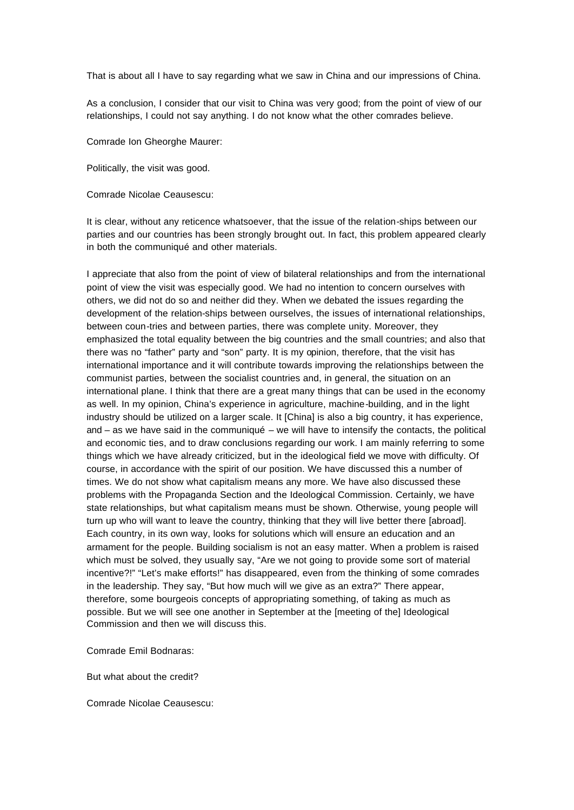That is about all I have to say regarding what we saw in China and our impressions of China.

As a conclusion, I consider that our visit to China was very good; from the point of view of our relationships, I could not say anything. I do not know what the other comrades believe.

Comrade Ion Gheorghe Maurer:

Politically, the visit was good.

Comrade Nicolae Ceausescu:

It is clear, without any reticence whatsoever, that the issue of the relation-ships between our parties and our countries has been strongly brought out. In fact, this problem appeared clearly in both the communiqué and other materials.

I appreciate that also from the point of view of bilateral relationships and from the international point of view the visit was especially good. We had no intention to concern ourselves with others, we did not do so and neither did they. When we debated the issues regarding the development of the relation-ships between ourselves, the issues of international relationships, between coun-tries and between parties, there was complete unity. Moreover, they emphasized the total equality between the big countries and the small countries; and also that there was no "father" party and "son" party. It is my opinion, therefore, that the visit has international importance and it will contribute towards improving the relationships between the communist parties, between the socialist countries and, in general, the situation on an international plane. I think that there are a great many things that can be used in the economy as well. In my opinion, China's experience in agriculture, machine-building, and in the light industry should be utilized on a larger scale. It [China] is also a big country, it has experience, and – as we have said in the communiqué – we will have to intensify the contacts, the political and economic ties, and to draw conclusions regarding our work. I am mainly referring to some things which we have already criticized, but in the ideological field we move with difficulty. Of course, in accordance with the spirit of our position. We have discussed this a number of times. We do not show what capitalism means any more. We have also discussed these problems with the Propaganda Section and the Ideological Commission. Certainly, we have state relationships, but what capitalism means must be shown. Otherwise, young people will turn up who will want to leave the country, thinking that they will live better there [abroad]. Each country, in its own way, looks for solutions which will ensure an education and an armament for the people. Building socialism is not an easy matter. When a problem is raised which must be solved, they usually say, "Are we not going to provide some sort of material incentive?!" "Let's make efforts!" has disappeared, even from the thinking of some comrades in the leadership. They say, "But how much will we give as an extra?" There appear, therefore, some bourgeois concepts of appropriating something, of taking as much as possible. But we will see one another in September at the [meeting of the] Ideological Commission and then we will discuss this.

Comrade Emil Bodnaras:

But what about the credit?

Comrade Nicolae Ceausescu: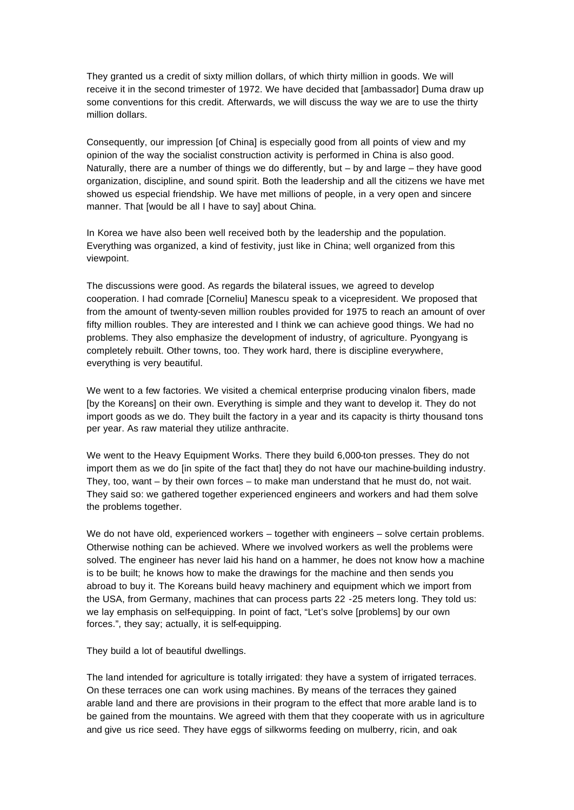They granted us a credit of sixty million dollars, of which thirty million in goods. We will receive it in the second trimester of 1972. We have decided that [ambassador] Duma draw up some conventions for this credit. Afterwards, we will discuss the way we are to use the thirty million dollars.

Consequently, our impression [of China] is especially good from all points of view and my opinion of the way the socialist construction activity is performed in China is also good. Naturally, there are a number of things we do differently, but – by and large – they have good organization, discipline, and sound spirit. Both the leadership and all the citizens we have met showed us especial friendship. We have met millions of people, in a very open and sincere manner. That [would be all I have to say] about China.

In Korea we have also been well received both by the leadership and the population. Everything was organized, a kind of festivity, just like in China; well organized from this viewpoint.

The discussions were good. As regards the bilateral issues, we agreed to develop cooperation. I had comrade [Corneliu] Manescu speak to a vicepresident. We proposed that from the amount of twenty-seven million roubles provided for 1975 to reach an amount of over fifty million roubles. They are interested and I think we can achieve good things. We had no problems. They also emphasize the development of industry, of agriculture. Pyongyang is completely rebuilt. Other towns, too. They work hard, there is discipline everywhere, everything is very beautiful.

We went to a few factories. We visited a chemical enterprise producing vinalon fibers, made [by the Koreans] on their own. Everything is simple and they want to develop it. They do not import goods as we do. They built the factory in a year and its capacity is thirty thousand tons per year. As raw material they utilize anthracite.

We went to the Heavy Equipment Works. There they build 6,000-ton presses. They do not import them as we do [in spite of the fact that] they do not have our machine-building industry. They, too, want – by their own forces – to make man understand that he must do, not wait. They said so: we gathered together experienced engineers and workers and had them solve the problems together.

We do not have old, experienced workers – together with engineers – solve certain problems. Otherwise nothing can be achieved. Where we involved workers as well the problems were solved. The engineer has never laid his hand on a hammer, he does not know how a machine is to be built; he knows how to make the drawings for the machine and then sends you abroad to buy it. The Koreans build heavy machinery and equipment which we import from the USA, from Germany, machines that can process parts 22 -25 meters long. They told us: we lay emphasis on self-equipping. In point of fact, "Let's solve [problems] by our own forces.", they say; actually, it is self-equipping.

They build a lot of beautiful dwellings.

The land intended for agriculture is totally irrigated: they have a system of irrigated terraces. On these terraces one can work using machines. By means of the terraces they gained arable land and there are provisions in their program to the effect that more arable land is to be gained from the mountains. We agreed with them that they cooperate with us in agriculture and give us rice seed. They have eggs of silkworms feeding on mulberry, ricin, and oak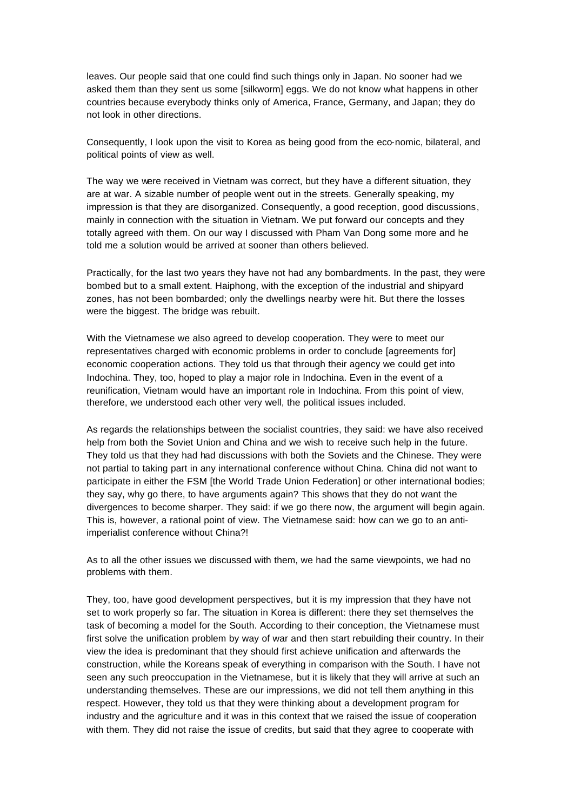leaves. Our people said that one could find such things only in Japan. No sooner had we asked them than they sent us some [silkworm] eggs. We do not know what happens in other countries because everybody thinks only of America, France, Germany, and Japan; they do not look in other directions.

Consequently, I look upon the visit to Korea as being good from the eco-nomic, bilateral, and political points of view as well.

The way we were received in Vietnam was correct, but they have a different situation, they are at war. A sizable number of people went out in the streets. Generally speaking, my impression is that they are disorganized. Consequently, a good reception, good discussions, mainly in connection with the situation in Vietnam. We put forward our concepts and they totally agreed with them. On our way I discussed with Pham Van Dong some more and he told me a solution would be arrived at sooner than others believed.

Practically, for the last two years they have not had any bombardments. In the past, they were bombed but to a small extent. Haiphong, with the exception of the industrial and shipyard zones, has not been bombarded; only the dwellings nearby were hit. But there the losses were the biggest. The bridge was rebuilt.

With the Vietnamese we also agreed to develop cooperation. They were to meet our representatives charged with economic problems in order to conclude [agreements for] economic cooperation actions. They told us that through their agency we could get into Indochina. They, too, hoped to play a major role in Indochina. Even in the event of a reunification, Vietnam would have an important role in Indochina. From this point of view, therefore, we understood each other very well, the political issues included.

As regards the relationships between the socialist countries, they said: we have also received help from both the Soviet Union and China and we wish to receive such help in the future. They told us that they had had discussions with both the Soviets and the Chinese. They were not partial to taking part in any international conference without China. China did not want to participate in either the FSM [the World Trade Union Federation] or other international bodies; they say, why go there, to have arguments again? This shows that they do not want the divergences to become sharper. They said: if we go there now, the argument will begin again. This is, however, a rational point of view. The Vietnamese said: how can we go to an antiimperialist conference without China?!

As to all the other issues we discussed with them, we had the same viewpoints, we had no problems with them.

They, too, have good development perspectives, but it is my impression that they have not set to work properly so far. The situation in Korea is different: there they set themselves the task of becoming a model for the South. According to their conception, the Vietnamese must first solve the unification problem by way of war and then start rebuilding their country. In their view the idea is predominant that they should first achieve unification and afterwards the construction, while the Koreans speak of everything in comparison with the South. I have not seen any such preoccupation in the Vietnamese, but it is likely that they will arrive at such an understanding themselves. These are our impressions, we did not tell them anything in this respect. However, they told us that they were thinking about a development program for industry and the agriculture and it was in this context that we raised the issue of cooperation with them. They did not raise the issue of credits, but said that they agree to cooperate with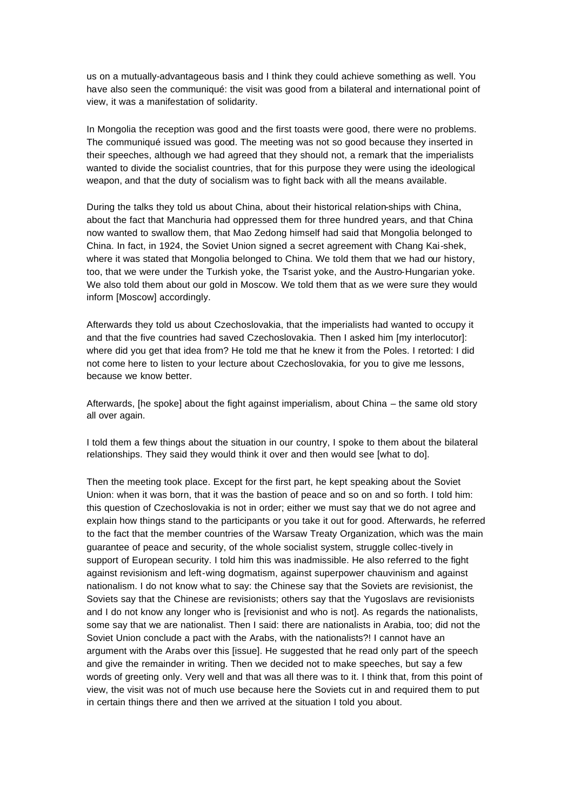us on a mutually-advantageous basis and I think they could achieve something as well. You have also seen the communiqué: the visit was good from a bilateral and international point of view, it was a manifestation of solidarity.

In Mongolia the reception was good and the first toasts were good, there were no problems. The communiqué issued was good. The meeting was not so good because they inserted in their speeches, although we had agreed that they should not, a remark that the imperialists wanted to divide the socialist countries, that for this purpose they were using the ideological weapon, and that the duty of socialism was to fight back with all the means available.

During the talks they told us about China, about their historical relation-ships with China, about the fact that Manchuria had oppressed them for three hundred years, and that China now wanted to swallow them, that Mao Zedong himself had said that Mongolia belonged to China. In fact, in 1924, the Soviet Union signed a secret agreement with Chang Kai-shek, where it was stated that Mongolia belonged to China. We told them that we had our history, too, that we were under the Turkish yoke, the Tsarist yoke, and the Austro-Hungarian yoke. We also told them about our gold in Moscow. We told them that as we were sure they would inform [Moscow] accordingly.

Afterwards they told us about Czechoslovakia, that the imperialists had wanted to occupy it and that the five countries had saved Czechoslovakia. Then I asked him [my interlocutor]: where did you get that idea from? He told me that he knew it from the Poles. I retorted: I did not come here to listen to your lecture about Czechoslovakia, for you to give me lessons, because we know better.

Afterwards, [he spoke] about the fight against imperialism, about China – the same old story all over again.

I told them a few things about the situation in our country, I spoke to them about the bilateral relationships. They said they would think it over and then would see [what to do].

Then the meeting took place. Except for the first part, he kept speaking about the Soviet Union: when it was born, that it was the bastion of peace and so on and so forth. I told him: this question of Czechoslovakia is not in order; either we must say that we do not agree and explain how things stand to the participants or you take it out for good. Afterwards, he referred to the fact that the member countries of the Warsaw Treaty Organization, which was the main guarantee of peace and security, of the whole socialist system, struggle collec-tively in support of European security. I told him this was inadmissible. He also referred to the fight against revisionism and left-wing dogmatism, against superpower chauvinism and against nationalism. I do not know what to say: the Chinese say that the Soviets are revisionist, the Soviets say that the Chinese are revisionists; others say that the Yugoslavs are revisionists and I do not know any longer who is [revisionist and who is not]. As regards the nationalists, some say that we are nationalist. Then I said: there are nationalists in Arabia, too; did not the Soviet Union conclude a pact with the Arabs, with the nationalists?! I cannot have an argument with the Arabs over this [issue]. He suggested that he read only part of the speech and give the remainder in writing. Then we decided not to make speeches, but say a few words of greeting only. Very well and that was all there was to it. I think that, from this point of view, the visit was not of much use because here the Soviets cut in and required them to put in certain things there and then we arrived at the situation I told you about.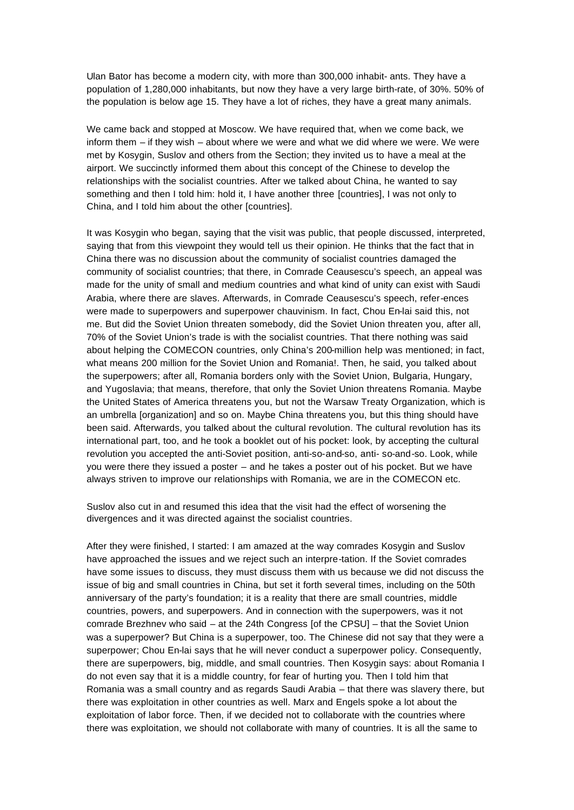Ulan Bator has become a modern city, with more than 300,000 inhabit- ants. They have a population of 1,280,000 inhabitants, but now they have a very large birth-rate, of 30%. 50% of the population is below age 15. They have a lot of riches, they have a great many animals.

We came back and stopped at Moscow. We have required that, when we come back, we inform them – if they wish – about where we were and what we did where we were. We were met by Kosygin, Suslov and others from the Section; they invited us to have a meal at the airport. We succinctly informed them about this concept of the Chinese to develop the relationships with the socialist countries. After we talked about China, he wanted to say something and then I told him: hold it, I have another three [countries], I was not only to China, and I told him about the other [countries].

It was Kosygin who began, saying that the visit was public, that people discussed, interpreted, saying that from this viewpoint they would tell us their opinion. He thinks that the fact that in China there was no discussion about the community of socialist countries damaged the community of socialist countries; that there, in Comrade Ceausescu's speech, an appeal was made for the unity of small and medium countries and what kind of unity can exist with Saudi Arabia, where there are slaves. Afterwards, in Comrade Ceausescu's speech, refer-ences were made to superpowers and superpower chauvinism. In fact, Chou En-lai said this, not me. But did the Soviet Union threaten somebody, did the Soviet Union threaten you, after all, 70% of the Soviet Union's trade is with the socialist countries. That there nothing was said about helping the COMECON countries, only China's 200-million help was mentioned; in fact, what means 200 million for the Soviet Union and Romania!. Then, he said, you talked about the superpowers; after all, Romania borders only with the Soviet Union, Bulgaria, Hungary, and Yugoslavia; that means, therefore, that only the Soviet Union threatens Romania. Maybe the United States of America threatens you, but not the Warsaw Treaty Organization, which is an umbrella [organization] and so on. Maybe China threatens you, but this thing should have been said. Afterwards, you talked about the cultural revolution. The cultural revolution has its international part, too, and he took a booklet out of his pocket: look, by accepting the cultural revolution you accepted the anti-Soviet position, anti-so-and-so, anti- so-and-so. Look, while you were there they issued a poster – and he takes a poster out of his pocket. But we have always striven to improve our relationships with Romania, we are in the COMECON etc.

Suslov also cut in and resumed this idea that the visit had the effect of worsening the divergences and it was directed against the socialist countries.

After they were finished, I started: I am amazed at the way comrades Kosygin and Suslov have approached the issues and we reject such an interpre-tation. If the Soviet comrades have some issues to discuss, they must discuss them with us because we did not discuss the issue of big and small countries in China, but set it forth several times, including on the 50th anniversary of the party's foundation; it is a reality that there are small countries, middle countries, powers, and superpowers. And in connection with the superpowers, was it not comrade Brezhnev who said – at the 24th Congress [of the CPSU] – that the Soviet Union was a superpower? But China is a superpower, too. The Chinese did not say that they were a superpower; Chou En-lai says that he will never conduct a superpower policy. Consequently, there are superpowers, big, middle, and small countries. Then Kosygin says: about Romania I do not even say that it is a middle country, for fear of hurting you. Then I told him that Romania was a small country and as regards Saudi Arabia – that there was slavery there, but there was exploitation in other countries as well. Marx and Engels spoke a lot about the exploitation of labor force. Then, if we decided not to collaborate with the countries where there was exploitation, we should not collaborate with many of countries. It is all the same to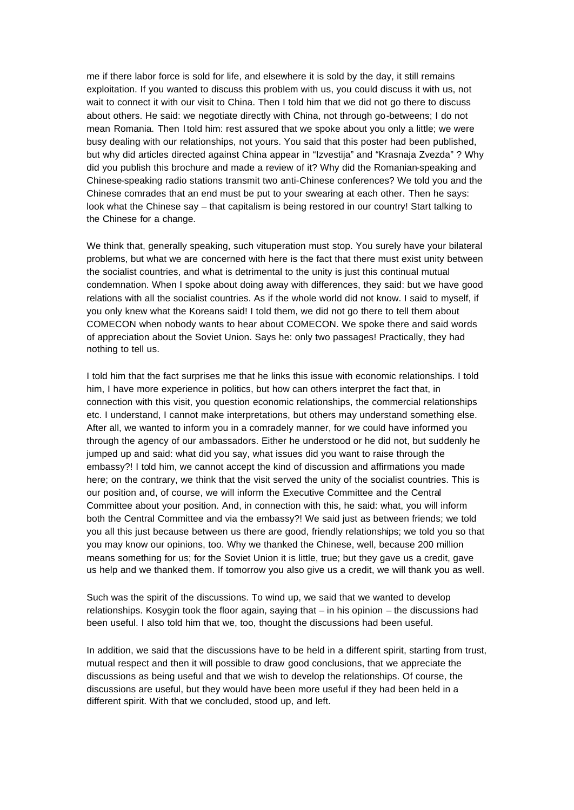me if there labor force is sold for life, and elsewhere it is sold by the day, it still remains exploitation. If you wanted to discuss this problem with us, you could discuss it with us, not wait to connect it with our visit to China. Then I told him that we did not go there to discuss about others. He said: we negotiate directly with China, not through go-betweens; I do not mean Romania. Then I told him: rest assured that we spoke about you only a little; we were busy dealing with our relationships, not yours. You said that this poster had been published, but why did articles directed against China appear in "Izvestija" and "Krasnaja Zvezda" ? Why did you publish this brochure and made a review of it? Why did the Romanian-speaking and Chinese-speaking radio stations transmit two anti-Chinese conferences? We told you and the Chinese comrades that an end must be put to your swearing at each other. Then he says: look what the Chinese say – that capitalism is being restored in our country! Start talking to the Chinese for a change.

We think that, generally speaking, such vituperation must stop. You surely have your bilateral problems, but what we are concerned with here is the fact that there must exist unity between the socialist countries, and what is detrimental to the unity is just this continual mutual condemnation. When I spoke about doing away with differences, they said: but we have good relations with all the socialist countries. As if the whole world did not know. I said to myself, if you only knew what the Koreans said! I told them, we did not go there to tell them about COMECON when nobody wants to hear about COMECON. We spoke there and said words of appreciation about the Soviet Union. Says he: only two passages! Practically, they had nothing to tell us.

I told him that the fact surprises me that he links this issue with economic relationships. I told him, I have more experience in politics, but how can others interpret the fact that, in connection with this visit, you question economic relationships, the commercial relationships etc. I understand, I cannot make interpretations, but others may understand something else. After all, we wanted to inform you in a comradely manner, for we could have informed you through the agency of our ambassadors. Either he understood or he did not, but suddenly he jumped up and said: what did you say, what issues did you want to raise through the embassy?! I told him, we cannot accept the kind of discussion and affirmations you made here; on the contrary, we think that the visit served the unity of the socialist countries. This is our position and, of course, we will inform the Executive Committee and the Central Committee about your position. And, in connection with this, he said: what, you will inform both the Central Committee and via the embassy?! We said just as between friends; we told you all this just because between us there are good, friendly relationships; we told you so that you may know our opinions, too. Why we thanked the Chinese, well, because 200 million means something for us; for the Soviet Union it is little, true; but they gave us a credit, gave us help and we thanked them. If tomorrow you also give us a credit, we will thank you as well.

Such was the spirit of the discussions. To wind up, we said that we wanted to develop relationships. Kosygin took the floor again, saying that – in his opinion – the discussions had been useful. I also told him that we, too, thought the discussions had been useful.

In addition, we said that the discussions have to be held in a different spirit, starting from trust, mutual respect and then it will possible to draw good conclusions, that we appreciate the discussions as being useful and that we wish to develop the relationships. Of course, the discussions are useful, but they would have been more useful if they had been held in a different spirit. With that we concluded, stood up, and left.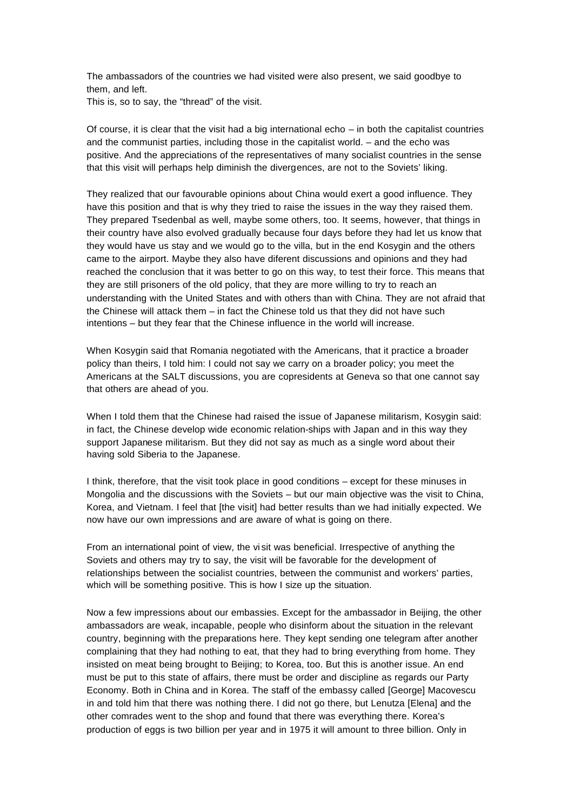The ambassadors of the countries we had visited were also present, we said goodbye to them, and left.

This is, so to say, the "thread" of the visit.

Of course, it is clear that the visit had a big international echo – in both the capitalist countries and the communist parties, including those in the capitalist world. – and the echo was positive. And the appreciations of the representatives of many socialist countries in the sense that this visit will perhaps help diminish the divergences, are not to the Soviets' liking.

They realized that our favourable opinions about China would exert a good influence. They have this position and that is why they tried to raise the issues in the way they raised them. They prepared Tsedenbal as well, maybe some others, too. It seems, however, that things in their country have also evolved gradually because four days before they had let us know that they would have us stay and we would go to the villa, but in the end Kosygin and the others came to the airport. Maybe they also have diferent discussions and opinions and they had reached the conclusion that it was better to go on this way, to test their force. This means that they are still prisoners of the old policy, that they are more willing to try to reach an understanding with the United States and with others than with China. They are not afraid that the Chinese will attack them – in fact the Chinese told us that they did not have such intentions – but they fear that the Chinese influence in the world will increase.

When Kosygin said that Romania negotiated with the Americans, that it practice a broader policy than theirs, I told him: I could not say we carry on a broader policy; you meet the Americans at the SALT discussions, you are copresidents at Geneva so that one cannot say that others are ahead of you.

When I told them that the Chinese had raised the issue of Japanese militarism, Kosygin said: in fact, the Chinese develop wide economic relation-ships with Japan and in this way they support Japanese militarism. But they did not say as much as a single word about their having sold Siberia to the Japanese.

I think, therefore, that the visit took place in good conditions – except for these minuses in Mongolia and the discussions with the Soviets – but our main objective was the visit to China, Korea, and Vietnam. I feel that [the visit] had better results than we had initially expected. We now have our own impressions and are aware of what is going on there.

From an international point of view, the vi sit was beneficial. Irrespective of anything the Soviets and others may try to say, the visit will be favorable for the development of relationships between the socialist countries, between the communist and workers' parties, which will be something positive. This is how I size up the situation.

Now a few impressions about our embassies. Except for the ambassador in Beijing, the other ambassadors are weak, incapable, people who disinform about the situation in the relevant country, beginning with the preparations here. They kept sending one telegram after another complaining that they had nothing to eat, that they had to bring everything from home. They insisted on meat being brought to Beijing; to Korea, too. But this is another issue. An end must be put to this state of affairs, there must be order and discipline as regards our Party Economy. Both in China and in Korea. The staff of the embassy called [George] Macovescu in and told him that there was nothing there. I did not go there, but Lenutza [Elena] and the other comrades went to the shop and found that there was everything there. Korea's production of eggs is two billion per year and in 1975 it will amount to three billion. Only in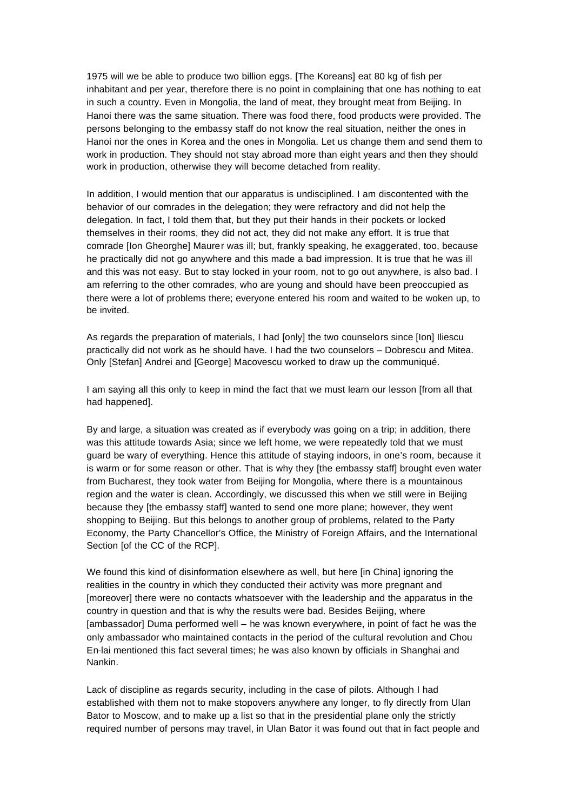1975 will we be able to produce two billion eggs. [The Koreans] eat 80 kg of fish per inhabitant and per year, therefore there is no point in complaining that one has nothing to eat in such a country. Even in Mongolia, the land of meat, they brought meat from Beijing. In Hanoi there was the same situation. There was food there, food products were provided. The persons belonging to the embassy staff do not know the real situation, neither the ones in Hanoi nor the ones in Korea and the ones in Mongolia. Let us change them and send them to work in production. They should not stay abroad more than eight years and then they should work in production, otherwise they will become detached from reality.

In addition, I would mention that our apparatus is undisciplined. I am discontented with the behavior of our comrades in the delegation; they were refractory and did not help the delegation. In fact, I told them that, but they put their hands in their pockets or locked themselves in their rooms, they did not act, they did not make any effort. It is true that comrade [Ion Gheorghe] Maurer was ill; but, frankly speaking, he exaggerated, too, because he practically did not go anywhere and this made a bad impression. It is true that he was ill and this was not easy. But to stay locked in your room, not to go out anywhere, is also bad. I am referring to the other comrades, who are young and should have been preoccupied as there were a lot of problems there; everyone entered his room and waited to be woken up, to be invited.

As regards the preparation of materials, I had [only] the two counselors since [Ion] Iliescu practically did not work as he should have. I had the two counselors – Dobrescu and Mitea. Only [Stefan] Andrei and [George] Macovescu worked to draw up the communiqué.

I am saying all this only to keep in mind the fact that we must learn our lesson [from all that had happened].

By and large, a situation was created as if everybody was going on a trip; in addition, there was this attitude towards Asia; since we left home, we were repeatedly told that we must guard be wary of everything. Hence this attitude of staying indoors, in one's room, because it is warm or for some reason or other. That is why they [the embassy staff] brought even water from Bucharest, they took water from Beijing for Mongolia, where there is a mountainous region and the water is clean. Accordingly, we discussed this when we still were in Beijing because they [the embassy staff] wanted to send one more plane; however, they went shopping to Beijing. But this belongs to another group of problems, related to the Party Economy, the Party Chancellor's Office, the Ministry of Foreign Affairs, and the International Section [of the CC of the RCP].

We found this kind of disinformation elsewhere as well, but here [in China] ignoring the realities in the country in which they conducted their activity was more pregnant and [moreover] there were no contacts whatsoever with the leadership and the apparatus in the country in question and that is why the results were bad. Besides Beijing, where [ambassador] Duma performed well – he was known everywhere, in point of fact he was the only ambassador who maintained contacts in the period of the cultural revolution and Chou En-lai mentioned this fact several times; he was also known by officials in Shanghai and Nankin.

Lack of discipline as regards security, including in the case of pilots. Although I had established with them not to make stopovers anywhere any longer, to fly directly from Ulan Bator to Moscow, and to make up a list so that in the presidential plane only the strictly required number of persons may travel, in Ulan Bator it was found out that in fact people and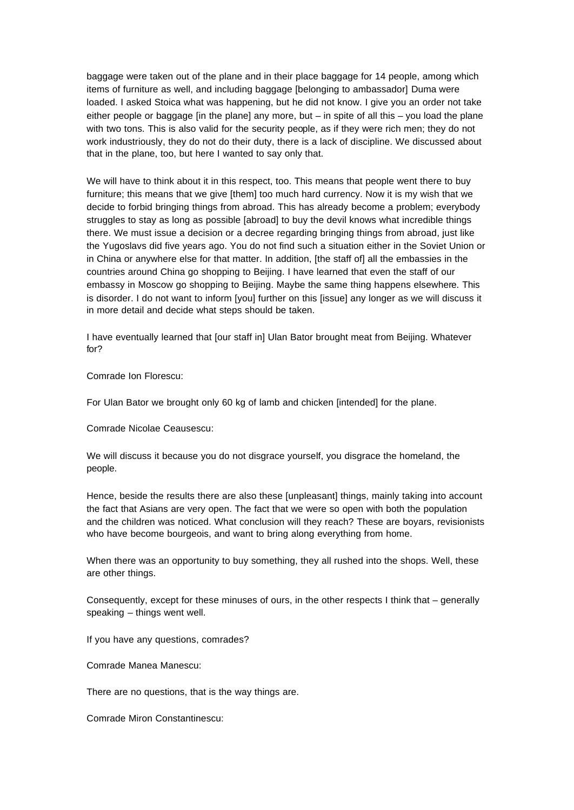baggage were taken out of the plane and in their place baggage for 14 people, among which items of furniture as well, and including baggage [belonging to ambassador] Duma were loaded. I asked Stoica what was happening, but he did not know. I give you an order not take either people or baggage [in the plane] any more, but  $-$  in spite of all this  $-$  you load the plane with two tons. This is also valid for the security people, as if they were rich men; they do not work industriously, they do not do their duty, there is a lack of discipline. We discussed about that in the plane, too, but here I wanted to say only that.

We will have to think about it in this respect, too. This means that people went there to buy furniture; this means that we give [them] too much hard currency. Now it is my wish that we decide to forbid bringing things from abroad. This has already become a problem; everybody struggles to stay as long as possible [abroad] to buy the devil knows what incredible things there. We must issue a decision or a decree regarding bringing things from abroad, just like the Yugoslavs did five years ago. You do not find such a situation either in the Soviet Union or in China or anywhere else for that matter. In addition, [the staff of] all the embassies in the countries around China go shopping to Beijing. I have learned that even the staff of our embassy in Moscow go shopping to Beijing. Maybe the same thing happens elsewhere. This is disorder. I do not want to inform [you] further on this [issue] any longer as we will discuss it in more detail and decide what steps should be taken.

I have eventually learned that [our staff in] Ulan Bator brought meat from Beijing. Whatever for?

Comrade Ion Florescu:

For Ulan Bator we brought only 60 kg of lamb and chicken [intended] for the plane.

Comrade Nicolae Ceausescu:

We will discuss it because you do not disgrace yourself, you disgrace the homeland, the people.

Hence, beside the results there are also these [unpleasant] things, mainly taking into account the fact that Asians are very open. The fact that we were so open with both the population and the children was noticed. What conclusion will they reach? These are boyars, revisionists who have become bourgeois, and want to bring along everything from home.

When there was an opportunity to buy something, they all rushed into the shops. Well, these are other things.

Consequently, except for these minuses of ours, in the other respects I think that – generally speaking – things went well.

If you have any questions, comrades?

Comrade Manea Manescu:

There are no questions, that is the way things are.

Comrade Miron Constantinescu: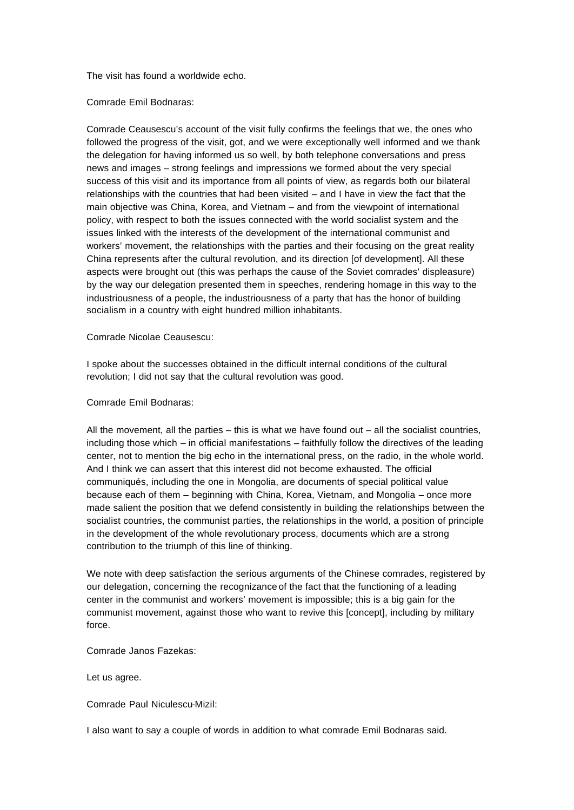The visit has found a worldwide echo.

Comrade Emil Bodnaras:

Comrade Ceausescu's account of the visit fully confirms the feelings that we, the ones who followed the progress of the visit, got, and we were exceptionally well informed and we thank the delegation for having informed us so well, by both telephone conversations and press news and images – strong feelings and impressions we formed about the very special success of this visit and its importance from all points of view, as regards both our bilateral relationships with the countries that had been visited – and I have in view the fact that the main objective was China, Korea, and Vietnam – and from the viewpoint of international policy, with respect to both the issues connected with the world socialist system and the issues linked with the interests of the development of the international communist and workers' movement, the relationships with the parties and their focusing on the great reality China represents after the cultural revolution, and its direction [of development]. All these aspects were brought out (this was perhaps the cause of the Soviet comrades' displeasure) by the way our delegation presented them in speeches, rendering homage in this way to the industriousness of a people, the industriousness of a party that has the honor of building socialism in a country with eight hundred million inhabitants.

Comrade Nicolae Ceausescu:

I spoke about the successes obtained in the difficult internal conditions of the cultural revolution; I did not say that the cultural revolution was good.

Comrade Emil Bodnaras:

All the movement, all the parties  $-$  this is what we have found out  $-$  all the socialist countries, including those which – in official manifestations – faithfully follow the directives of the leading center, not to mention the big echo in the international press, on the radio, in the whole world. And I think we can assert that this interest did not become exhausted. The official communiqués, including the one in Mongolia, are documents of special political value because each of them – beginning with China, Korea, Vietnam, and Mongolia – once more made salient the position that we defend consistently in building the relationships between the socialist countries, the communist parties, the relationships in the world, a position of principle in the development of the whole revolutionary process, documents which are a strong contribution to the triumph of this line of thinking.

We note with deep satisfaction the serious arguments of the Chinese comrades, registered by our delegation, concerning the recognizance of the fact that the functioning of a leading center in the communist and workers' movement is impossible; this is a big gain for the communist movement, against those who want to revive this [concept], including by military force.

Comrade Janos Fazekas:

Let us agree.

Comrade Paul Niculescu-Mizil:

I also want to say a couple of words in addition to what comrade Emil Bodnaras said.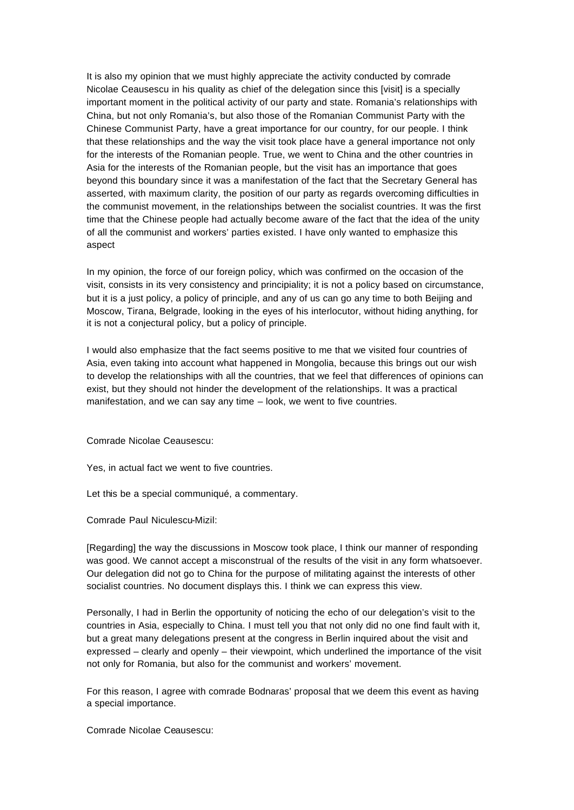It is also my opinion that we must highly appreciate the activity conducted by comrade Nicolae Ceausescu in his quality as chief of the delegation since this [visit] is a specially important moment in the political activity of our party and state. Romania's relationships with China, but not only Romania's, but also those of the Romanian Communist Party with the Chinese Communist Party, have a great importance for our country, for our people. I think that these relationships and the way the visit took place have a general importance not only for the interests of the Romanian people. True, we went to China and the other countries in Asia for the interests of the Romanian people, but the visit has an importance that goes beyond this boundary since it was a manifestation of the fact that the Secretary General has asserted, with maximum clarity, the position of our party as regards overcoming difficulties in the communist movement, in the relationships between the socialist countries. It was the first time that the Chinese people had actually become aware of the fact that the idea of the unity of all the communist and workers' parties existed. I have only wanted to emphasize this aspect

In my opinion, the force of our foreign policy, which was confirmed on the occasion of the visit, consists in its very consistency and principiality; it is not a policy based on circumstance, but it is a just policy, a policy of principle, and any of us can go any time to both Beijing and Moscow, Tirana, Belgrade, looking in the eyes of his interlocutor, without hiding anything, for it is not a conjectural policy, but a policy of principle.

I would also emphasize that the fact seems positive to me that we visited four countries of Asia, even taking into account what happened in Mongolia, because this brings out our wish to develop the relationships with all the countries, that we feel that differences of opinions can exist, but they should not hinder the development of the relationships. It was a practical manifestation, and we can say any time – look, we went to five countries.

Comrade Nicolae Ceausescu:

Yes, in actual fact we went to five countries.

Let this be a special communiqué, a commentary.

Comrade Paul Niculescu-Mizil:

[Regarding] the way the discussions in Moscow took place, I think our manner of responding was good. We cannot accept a misconstrual of the results of the visit in any form whatsoever. Our delegation did not go to China for the purpose of militating against the interests of other socialist countries. No document displays this. I think we can express this view.

Personally, I had in Berlin the opportunity of noticing the echo of our delegation's visit to the countries in Asia, especially to China. I must tell you that not only did no one find fault with it, but a great many delegations present at the congress in Berlin inquired about the visit and expressed – clearly and openly – their viewpoint, which underlined the importance of the visit not only for Romania, but also for the communist and workers' movement.

For this reason, I agree with comrade Bodnaras' proposal that we deem this event as having a special importance.

Comrade Nicolae Ceausescu: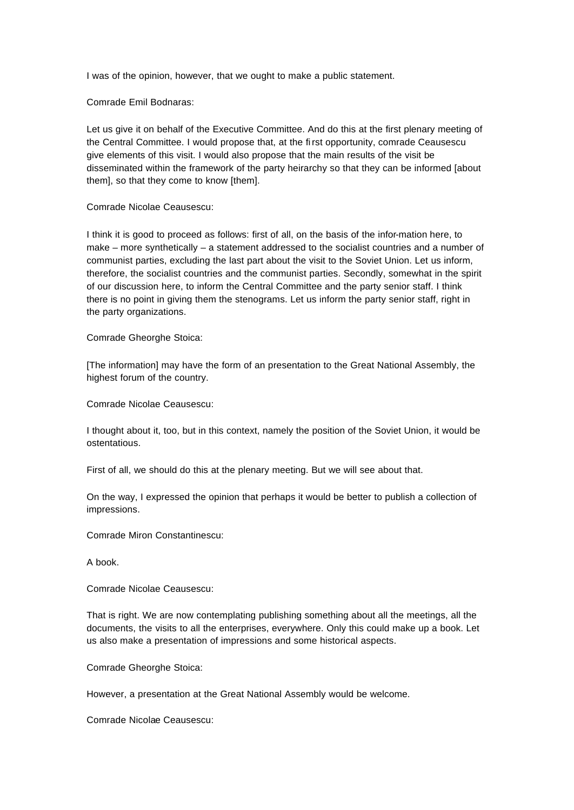I was of the opinion, however, that we ought to make a public statement.

Comrade Emil Bodnaras:

Let us give it on behalf of the Executive Committee. And do this at the first plenary meeting of the Central Committee. I would propose that, at the first opportunity, comrade Ceausescu give elements of this visit. I would also propose that the main results of the visit be disseminated within the framework of the party heirarchy so that they can be informed [about them], so that they come to know [them].

## Comrade Nicolae Ceausescu:

I think it is good to proceed as follows: first of all, on the basis of the infor-mation here, to make – more synthetically – a statement addressed to the socialist countries and a number of communist parties, excluding the last part about the visit to the Soviet Union. Let us inform, therefore, the socialist countries and the communist parties. Secondly, somewhat in the spirit of our discussion here, to inform the Central Committee and the party senior staff. I think there is no point in giving them the stenograms. Let us inform the party senior staff, right in the party organizations.

Comrade Gheorghe Stoica:

[The information] may have the form of an presentation to the Great National Assembly, the highest forum of the country.

Comrade Nicolae Ceausescu:

I thought about it, too, but in this context, namely the position of the Soviet Union, it would be ostentatious.

First of all, we should do this at the plenary meeting. But we will see about that.

On the way, I expressed the opinion that perhaps it would be better to publish a collection of impressions.

Comrade Miron Constantinescu:

A book.

Comrade Nicolae Ceausescu:

That is right. We are now contemplating publishing something about all the meetings, all the documents, the visits to all the enterprises, everywhere. Only this could make up a book. Let us also make a presentation of impressions and some historical aspects.

Comrade Gheorghe Stoica:

However, a presentation at the Great National Assembly would be welcome.

Comrade Nicolae Ceausescu: